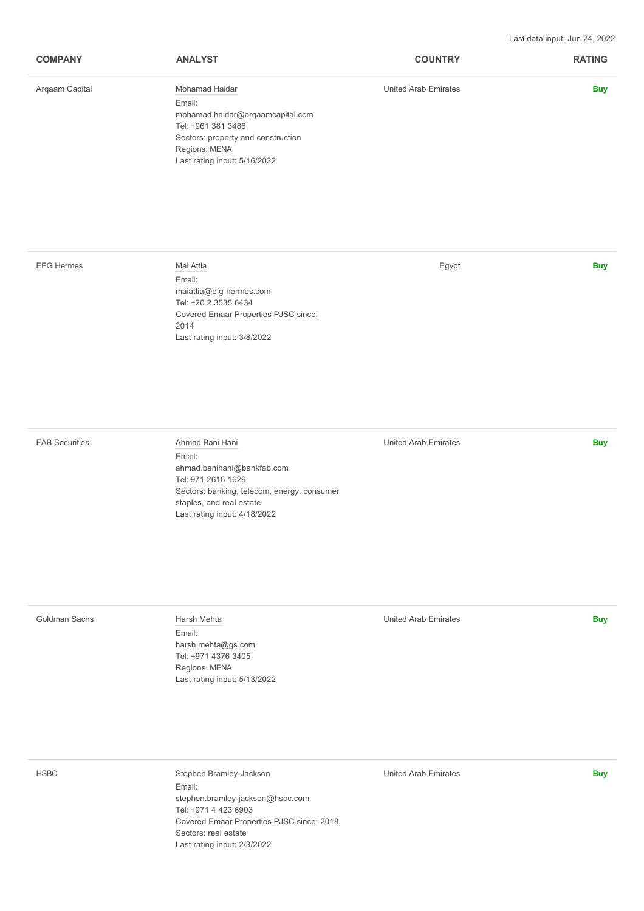Last data input: Jun 24, 2022

| <b>COMPANY</b> | <b>ANALYST</b>                     | <b>COUNTRY</b>       | <b>RATING</b> |
|----------------|------------------------------------|----------------------|---------------|
| Argaam Capital | Mohamad Haidar                     | United Arab Emirates | <b>Buy</b>    |
|                | Email:                             |                      |               |
|                | mohamad.haidar@arqaamcapital.com   |                      |               |
|                | Tel: +961 381 3486                 |                      |               |
|                | Sectors: property and construction |                      |               |
|                | Regions: MENA                      |                      |               |
|                | Last rating input: 5/16/2022       |                      |               |
|                |                                    |                      |               |

## [EFG Hermes](https://www.efghermes.com/) [Mai Attia](javascript:void(0);) Egypt **Buy** Email: [maiattia@efg-hermes.com](mailto:maiattia@efg-hermes.com) Tel: [+20 2 3535 6434](tel:+20235356434) Covered Emaar Properties PJSC since: 2014 Last rating input: 3/8/2022

Email: [ahmad.banihani@bankfab.com](mailto:ahmad.banihani@bankfab.com) Tel: [971 2616 1629](tel:97126161629) Sectors: banking, telecom, energy, consumer staples, and real estate Last rating input: 4/18/2022

[FAB Securities](https://www.bankfab.com/) [Ahmad Bani Hani](javascript:void(0);) United Arab Emirates **Buy**

## [Goldman Sachs](https://www.goldmansachs.com/) [Harsh Mehta](javascript:void(0);) United Arab Emirates **Buy** Email: [harsh.mehta@gs.com](mailto:harsh.mehta@gs.com) Tel: [+971 4376 3405](tel:+97143763405) Regions: MENA

Last rating input: 5/13/2022

[HSBC](https://www.hsbc.com/) [Stephen Bramley-Jackson](javascript:void(0);) United Arab Emirates **Buy** Email: [stephen.bramley-jackson@hsbc.com](mailto:stephen.bramley-jackson@hsbc.com) Tel: [+971 4 423 6903](tel:+97144236903) Covered Emaar Properties PJSC since: 2018 Sectors: real estate Last rating input: 2/3/2022